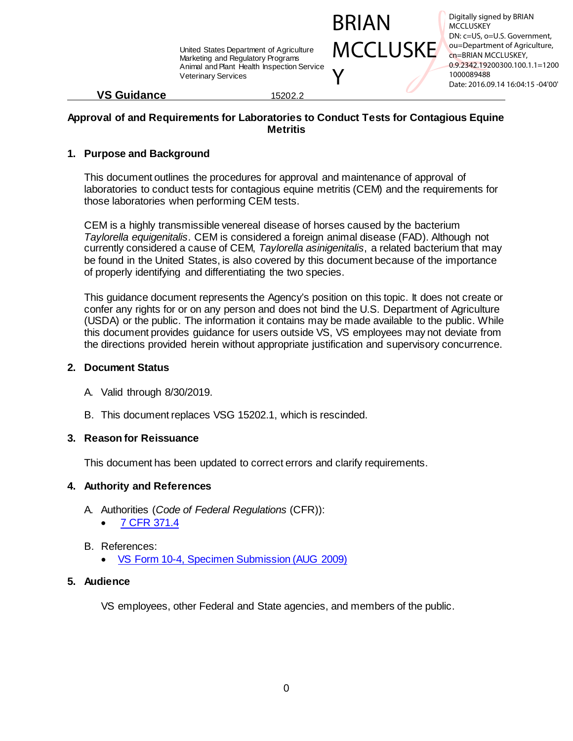

Digitally signed by BRIAN **MCCLUSKEY** DN: c=US, o=U.S. Government, ou=Department of Agriculture, cn=BRIAN MCCLUSKEY, 0.9.2342.19200300.100.1.1=1200 1000089488 Date: 2016.09.14 16:04:15 -04'00'

## **VS Guidance** 15202.2

## **Approval of and Requirements for Laboratories to Conduct Tests for Contagious Equine Metritis**

# **1. Purpose and Background**

This document outlines the procedures for approval and maintenance of approval of laboratories to conduct tests for contagious equine metritis (CEM) and the requirements for those laboratories when performing CEM tests.

CEM is a highly transmissible venereal disease of horses caused by the bacterium *Taylorella equigenitalis*. CEM is considered a foreign animal disease (FAD). Although not currently considered a cause of CEM, *Taylorella asinigenitalis*, a related bacterium that may be found in the United States, is also covered by this document because of the importance of properly identifying and differentiating the two species.

This guidance document represents the Agency's position on this topic. It does not create or confer any rights for or on any person and does not bind the U.S. Department of Agriculture (USDA) or the public. The information it contains may be made available to the public. While this document provides guidance for users outside VS, VS employees may not deviate from the directions provided herein without appropriate justification and supervisory concurrence.

## **2. Document Status**

- A. Valid through 8/30/2019.
- B. This document replaces VSG 15202.1, which is rescinded.

# **3. Reason for Reissuance**

This document has been updated to correct errors and clarify requirements.

# **4. Authority and References**

- A. Authorities (*Code of Federal Regulations* (CFR)):
	- [7 CFR 371.4](http://www.ecfr.gov/cgi-bin/text-idx?SID=478356aceb3893f3bd6a6f36a8d27a27&mc=true&node=pt7.5.371&rgn=div5#se7.5.371_14)
- B. References:
	- [VS Form 10-4, Specimen Submission](https://www.aphis.usda.gov/library/forms/pdf/VS_Form10_4.pdf) (AUG 2009)

# **5. Audience**

VS employees, other Federal and State agencies, and members of the public.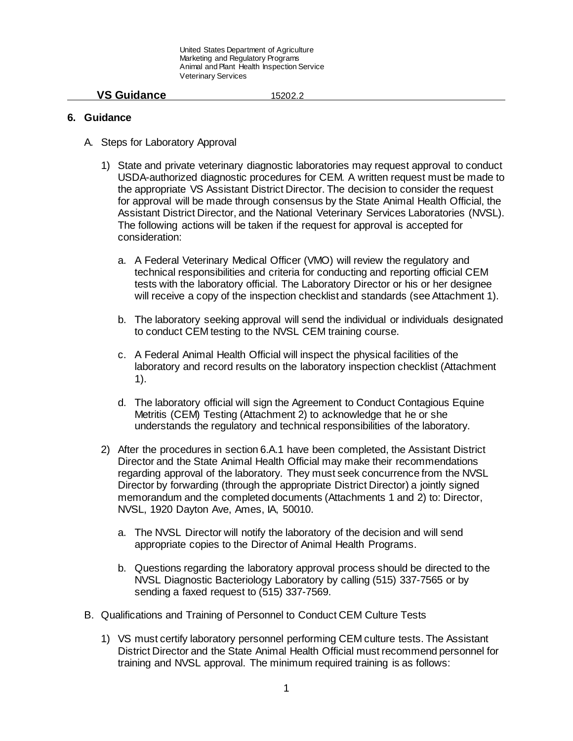### **VS Guidance** 15202.2

### **6. Guidance**

- A. Steps for Laboratory Approval
	- 1) State and private veterinary diagnostic laboratories may request approval to conduct USDA-authorized diagnostic procedures for CEM. A written request must be made to the appropriate VS Assistant District Director. The decision to consider the request for approval will be made through consensus by the State Animal Health Official, the Assistant District Director, and the National Veterinary Services Laboratories (NVSL). The following actions will be taken if the request for approval is accepted for consideration:
		- a. A Federal Veterinary Medical Officer (VMO) will review the regulatory and technical responsibilities and criteria for conducting and reporting official CEM tests with the laboratory official. The Laboratory Director or his or her designee will receive a copy of the inspection checklist and standards (see Attachment 1).
		- b. The laboratory seeking approval will send the individual or individuals designated to conduct CEM testing to the NVSL CEM training course.
		- c. A Federal Animal Health Official will inspect the physical facilities of the laboratory and record results on the laboratory inspection checklist (Attachment 1).
		- d. The laboratory official will sign the Agreement to Conduct Contagious Equine Metritis (CEM) Testing (Attachment 2) to acknowledge that he or she understands the regulatory and technical responsibilities of the laboratory.
	- 2) After the procedures in section 6.A.1 have been completed, the Assistant District Director and the State Animal Health Official may make their recommendations regarding approval of the laboratory. They must seek concurrence from the NVSL Director by forwarding (through the appropriate District Director) a jointly signed memorandum and the completed documents (Attachments 1 and 2) to: Director, NVSL, 1920 Dayton Ave, Ames, IA, 50010.
		- a. The NVSL Director will notify the laboratory of the decision and will send appropriate copies to the Director of Animal Health Programs.
		- b. Questions regarding the laboratory approval process should be directed to the NVSL Diagnostic Bacteriology Laboratory by calling (515) 337-7565 or by sending a faxed request to (515) 337-7569.
- B. Qualifications and Training of Personnel to Conduct CEM Culture Tests
	- 1) VS must certify laboratory personnel performing CEM culture tests. The Assistant District Director and the State Animal Health Official must recommend personnel for training and NVSL approval. The minimum required training is as follows: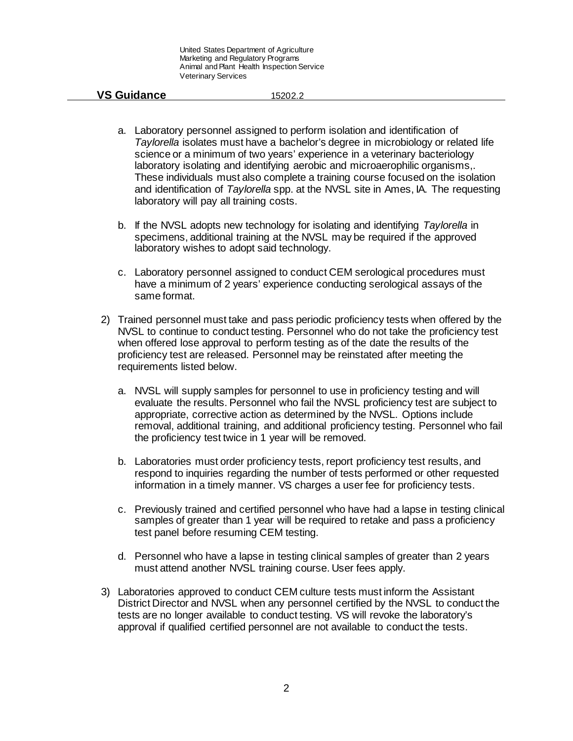- a. Laboratory personnel assigned to perform isolation and identification of *Taylorella* isolates must have a bachelor's degree in microbiology or related life science or a minimum of two years' experience in a veterinary bacteriology laboratory isolating and identifying aerobic and microaerophilic organisms,. These individuals must also complete a training course focused on the isolation and identification of *Taylorella* spp. at the NVSL site in Ames, IA. The requesting laboratory will pay all training costs.
- b. If the NVSL adopts new technology for isolating and identifying *Taylorella* in specimens, additional training at the NVSL may be required if the approved laboratory wishes to adopt said technology.
- c. Laboratory personnel assigned to conduct CEM serological procedures must have a minimum of 2 years' experience conducting serological assays of the same format.
- 2) Trained personnel must take and pass periodic proficiency tests when offered by the NVSL to continue to conduct testing. Personnel who do not take the proficiency test when offered lose approval to perform testing as of the date the results of the proficiency test are released. Personnel may be reinstated after meeting the requirements listed below.
	- a. NVSL will supply samples for personnel to use in proficiency testing and will evaluate the results. Personnel who fail the NVSL proficiency test are subject to appropriate, corrective action as determined by the NVSL. Options include removal, additional training, and additional proficiency testing. Personnel who fail the proficiency test twice in 1 year will be removed.
	- b. Laboratories must order proficiency tests, report proficiency test results, and respond to inquiries regarding the number of tests performed or other requested information in a timely manner. VS charges a user fee for proficiency tests.
	- c. Previously trained and certified personnel who have had a lapse in testing clinical samples of greater than 1 year will be required to retake and pass a proficiency test panel before resuming CEM testing.
	- d. Personnel who have a lapse in testing clinical samples of greater than 2 years must attend another NVSL training course. User fees apply.
- 3) Laboratories approved to conduct CEM culture tests must inform the Assistant District Director and NVSL when any personnel certified by the NVSL to conduct the tests are no longer available to conduct testing. VS will revoke the laboratory's approval if qualified certified personnel are not available to conduct the tests.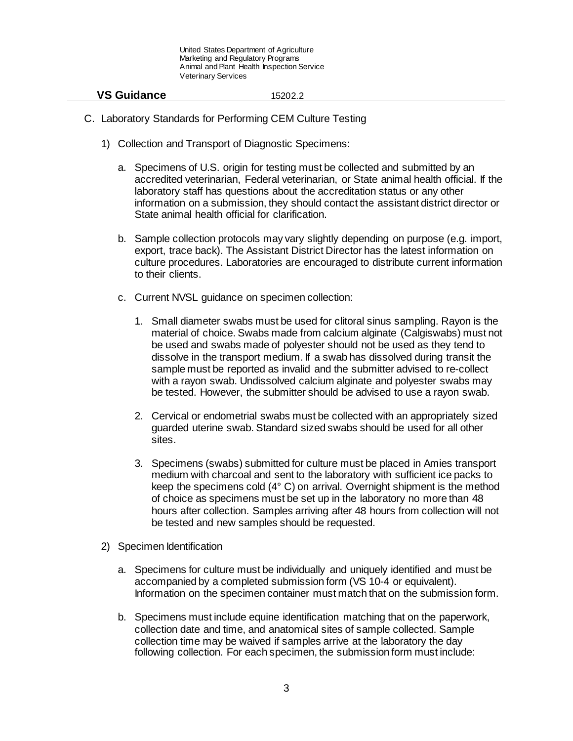- C. Laboratory Standards for Performing CEM Culture Testing
	- 1) Collection and Transport of Diagnostic Specimens:
		- a. Specimens of U.S. origin for testing must be collected and submitted by an accredited veterinarian, Federal veterinarian, or State animal health official. If the laboratory staff has questions about the accreditation status or any other information on a submission, they should contact the assistant district director or State animal health official for clarification.
		- b. Sample collection protocols may vary slightly depending on purpose (e.g. import, export, trace back). The Assistant District Director has the latest information on culture procedures. Laboratories are encouraged to distribute current information to their clients.
		- c. Current NVSL guidance on specimen collection:
			- 1. Small diameter swabs must be used for clitoral sinus sampling. Rayon is the material of choice. Swabs made from calcium alginate (Calgiswabs) must not be used and swabs made of polyester should not be used as they tend to dissolve in the transport medium. If a swab has dissolved during transit the sample must be reported as invalid and the submitter advised to re-collect with a rayon swab. Undissolved calcium alginate and polyester swabs may be tested. However, the submitter should be advised to use a rayon swab.
			- 2. Cervical or endometrial swabs must be collected with an appropriately sized guarded uterine swab. Standard sized swabs should be used for all other sites.
			- 3. Specimens (swabs) submitted for culture must be placed in Amies transport medium with charcoal and sent to the laboratory with sufficient ice packs to keep the specimens cold (4° C) on arrival. Overnight shipment is the method of choice as specimens must be set up in the laboratory no more than 48 hours after collection. Samples arriving after 48 hours from collection will not be tested and new samples should be requested.
	- 2) Specimen Identification
		- a. Specimens for culture must be individually and uniquely identified and must be accompanied by a completed submission form (VS 10-4 or equivalent). Information on the specimen container must match that on the submission form.
		- b. Specimens must include equine identification matching that on the paperwork, collection date and time, and anatomical sites of sample collected. Sample collection time may be waived if samples arrive at the laboratory the day following collection. For each specimen, the submission form must include: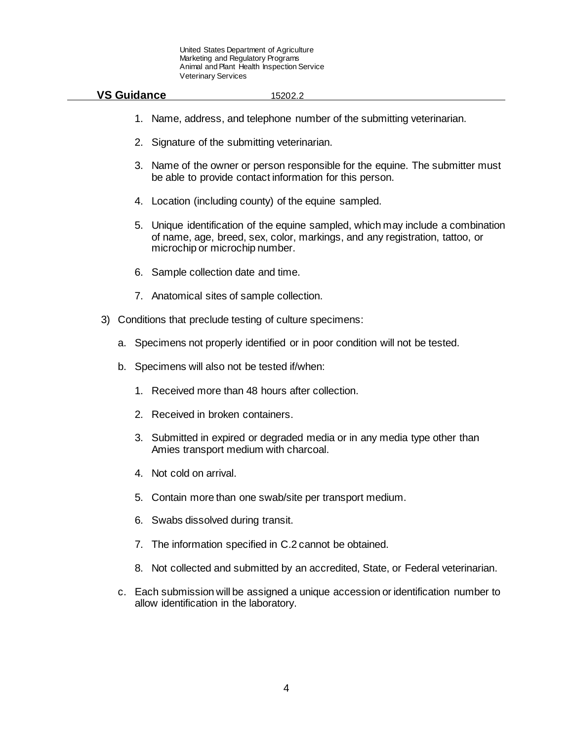| <b>VS Guidance</b> | ے:15202 |  |
|--------------------|---------|--|
|                    |         |  |

- 1. Name, address, and telephone number of the submitting veterinarian.
- 2. Signature of the submitting veterinarian.
- 3. Name of the owner or person responsible for the equine. The submitter must be able to provide contact information for this person.
- 4. Location (including county) of the equine sampled.
- 5. Unique identification of the equine sampled, which may include a combination of name, age, breed, sex, color, markings, and any registration, tattoo, or microchip or microchip number.
- 6. Sample collection date and time.
- 7. Anatomical sites of sample collection.
- 3) Conditions that preclude testing of culture specimens:
	- a. Specimens not properly identified or in poor condition will not be tested.
	- b. Specimens will also not be tested if/when:
		- 1. Received more than 48 hours after collection.
		- 2. Received in broken containers.
		- 3. Submitted in expired or degraded media or in any media type other than Amies transport medium with charcoal.
		- 4. Not cold on arrival.
		- 5. Contain more than one swab/site per transport medium.
		- 6. Swabs dissolved during transit.
		- 7. The information specified in C.2 cannot be obtained.
		- 8. Not collected and submitted by an accredited, State, or Federal veterinarian.
	- c. Each submission will be assigned a unique accession or identification number to allow identification in the laboratory.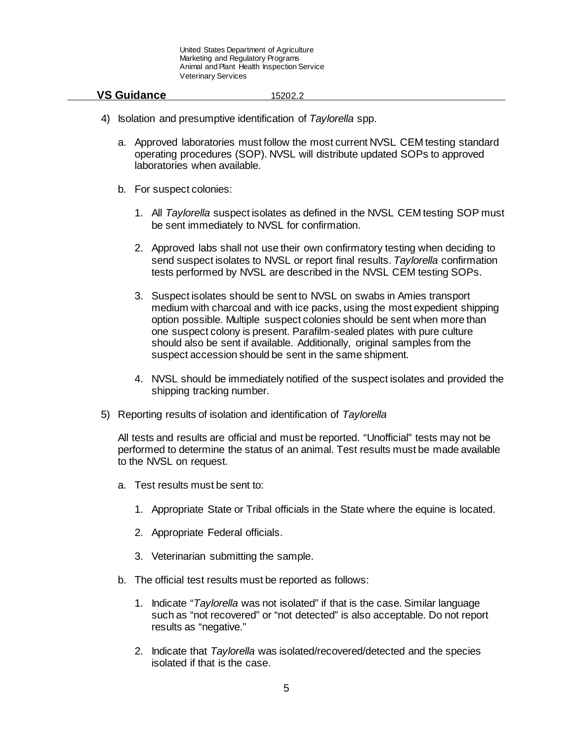### **VS Guidance** 15202.2

- 4) Isolation and presumptive identification of *Taylorella* spp.
	- a. Approved laboratories must follow the most current NVSL CEM testing standard operating procedures (SOP). NVSL will distribute updated SOPs to approved laboratories when available.
	- b. For suspect colonies:
		- 1. All *Taylorella* suspect isolates as defined in the NVSL CEM testing SOP must be sent immediately to NVSL for confirmation.
		- 2. Approved labs shall not use their own confirmatory testing when deciding to send suspect isolates to NVSL or report final results. *Taylorella* confirmation tests performed by NVSL are described in the NVSL CEM testing SOPs.
		- 3. Suspect isolates should be sent to NVSL on swabs in Amies transport medium with charcoal and with ice packs, using the most expedient shipping option possible. Multiple suspect colonies should be sent when more than one suspect colony is present. Parafilm-sealed plates with pure culture should also be sent if available. Additionally, original samples from the suspect accession should be sent in the same shipment.
		- 4. NVSL should be immediately notified of the suspect isolates and provided the shipping tracking number.
- 5) Reporting results of isolation and identification of *Taylorella*

All tests and results are official and must be reported. "Unofficial" tests may not be performed to determine the status of an animal. Test results must be made available to the NVSL on request.

- a. Test results must be sent to:
	- 1. Appropriate State or Tribal officials in the State where the equine is located.
	- 2. Appropriate Federal officials.
	- 3. Veterinarian submitting the sample.
- b. The official test results must be reported as follows:
	- 1. Indicate "*Taylorella* was not isolated" if that is the case. Similar language such as "not recovered" or "not detected" is also acceptable. Do not report results as "negative."
	- 2. Indicate that *Taylorella* was isolated/recovered/detected and the species isolated if that is the case.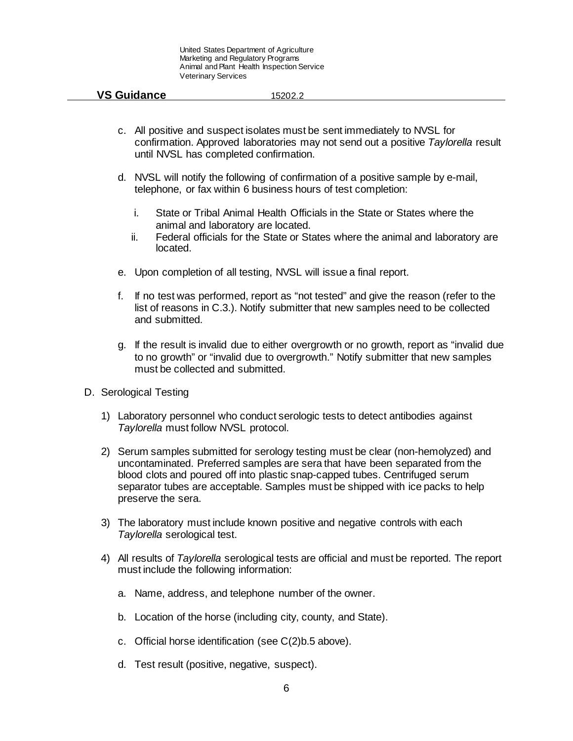- c. All positive and suspect isolates must be sent immediately to NVSL for confirmation. Approved laboratories may not send out a positive *Taylorella* result until NVSL has completed confirmation.
- d. NVSL will notify the following of confirmation of a positive sample by e-mail, telephone, or fax within 6 business hours of test completion:
	- i. State or Tribal Animal Health Officials in the State or States where the animal and laboratory are located.
	- ii. Federal officials for the State or States where the animal and laboratory are located.
- e. Upon completion of all testing, NVSL will issue a final report.
- f. If no test was performed, report as "not tested" and give the reason (refer to the list of reasons in C.3.). Notify submitter that new samples need to be collected and submitted.
- g. If the result is invalid due to either overgrowth or no growth, report as "invalid due to no growth" or "invalid due to overgrowth." Notify submitter that new samples must be collected and submitted.
- D. Serological Testing
	- 1) Laboratory personnel who conduct serologic tests to detect antibodies against *Taylorella* must follow NVSL protocol.
	- 2) Serum samples submitted for serology testing must be clear (non-hemolyzed) and uncontaminated. Preferred samples are sera that have been separated from the blood clots and poured off into plastic snap-capped tubes. Centrifuged serum separator tubes are acceptable. Samples must be shipped with ice packs to help preserve the sera.
	- 3) The laboratory must include known positive and negative controls with each *Taylorella* serological test.
	- 4) All results of *Taylorella* serological tests are official and must be reported. The report must include the following information:
		- a. Name, address, and telephone number of the owner.
		- b. Location of the horse (including city, county, and State).
		- c. Official horse identification (see C(2)b.5 above).
		- d. Test result (positive, negative, suspect).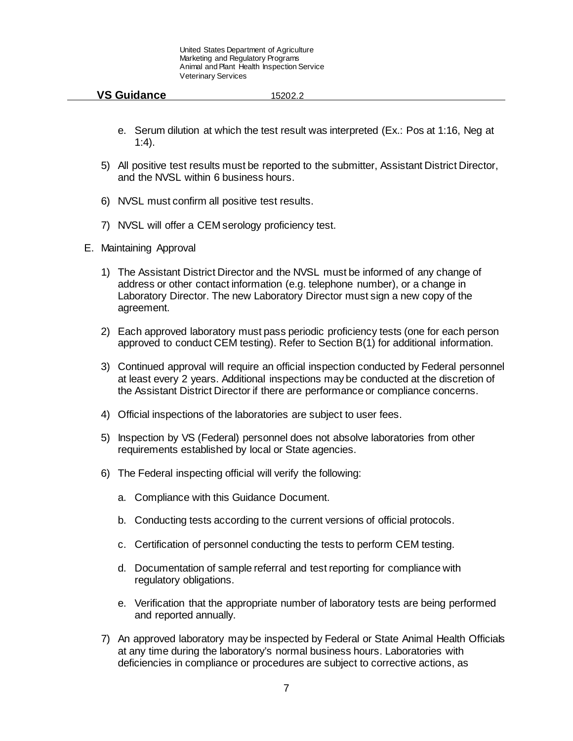- e. Serum dilution at which the test result was interpreted (Ex.: Pos at 1:16, Neg at 1:4).
- 5) All positive test results must be reported to the submitter, Assistant District Director, and the NVSL within 6 business hours.
- 6) NVSL must confirm all positive test results.
- 7) NVSL will offer a CEM serology proficiency test.
- E. Maintaining Approval
	- 1) The Assistant District Director and the NVSL must be informed of any change of address or other contact information (e.g. telephone number), or a change in Laboratory Director. The new Laboratory Director must sign a new copy of the agreement.
	- 2) Each approved laboratory must pass periodic proficiency tests (one for each person approved to conduct CEM testing). Refer to Section B(1) for additional information.
	- 3) Continued approval will require an official inspection conducted by Federal personnel at least every 2 years. Additional inspections may be conducted at the discretion of the Assistant District Director if there are performance or compliance concerns.
	- 4) Official inspections of the laboratories are subject to user fees.
	- 5) Inspection by VS (Federal) personnel does not absolve laboratories from other requirements established by local or State agencies.
	- 6) The Federal inspecting official will verify the following:
		- a. Compliance with this Guidance Document.
		- b. Conducting tests according to the current versions of official protocols.
		- c. Certification of personnel conducting the tests to perform CEM testing.
		- d. Documentation of sample referral and test reporting for compliance with regulatory obligations.
		- e. Verification that the appropriate number of laboratory tests are being performed and reported annually.
	- 7) An approved laboratory may be inspected by Federal or State Animal Health Officials at any time during the laboratory's normal business hours. Laboratories with deficiencies in compliance or procedures are subject to corrective actions, as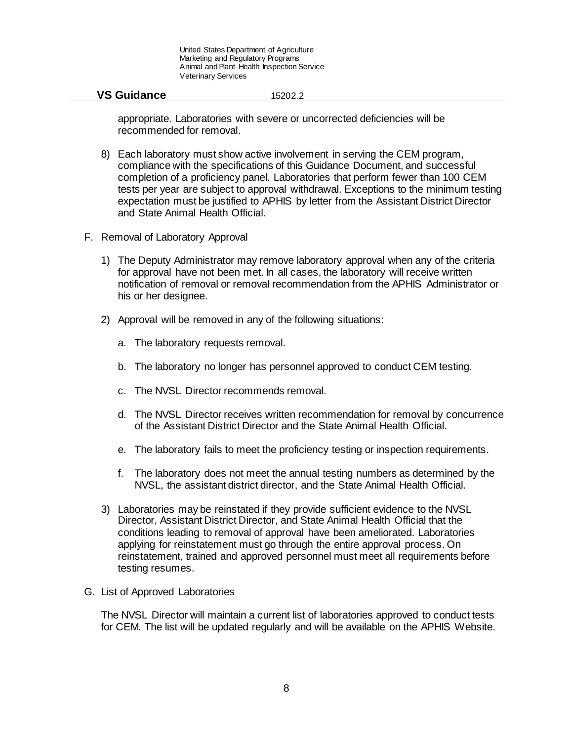## **VS Guidance** 15202.2

appropriate. Laboratories with severe or uncorrected deficiencies will be recommended for removal.

- 8) Each laboratory must show active involvement in serving the CEM program, compliance with the specifications of this Guidance Document, and successful completion of a proficiency panel. Laboratories that perform fewer than 100 CEM tests per year are subject to approval withdrawal. Exceptions to the minimum testing expectation must be justified to APHIS by letter from the Assistant District Director and State Animal Health Official.
- F. Removal of Laboratory Approval
	- 1) The Deputy Administrator may remove laboratory approval when any of the criteria for approval have not been met. In all cases, the laboratory will receive written notification of removal or removal recommendation from the APHIS Administrator or his or her designee.
	- 2) Approval will be removed in any of the following situations:
		- a. The laboratory requests removal.
		- b. The laboratory no longer has personnel approved to conduct CEM testing.
		- c. The NVSL Director recommends removal.
		- d. The NVSL Director receives written recommendation for removal by concurrence of the Assistant District Director and the State Animal Health Official.
		- e. The laboratory fails to meet the proficiency testing or inspection requirements.
		- f. The laboratory does not meet the annual testing numbers as determined by the NVSL, the assistant district director, and the State Animal Health Official.
	- 3) Laboratories may be reinstated if they provide sufficient evidence to the NVSL Director, Assistant District Director, and State Animal Health Official that the conditions leading to removal of approval have been ameliorated. Laboratories applying for reinstatement must go through the entire approval process. On reinstatement, trained and approved personnel must meet all requirements before testing resumes.

## G. List of Approved Laboratories

The NVSL Director will maintain a current list of laboratories approved to conduct tests for CEM. The list will be updated regularly and will be available on the APHIS Website.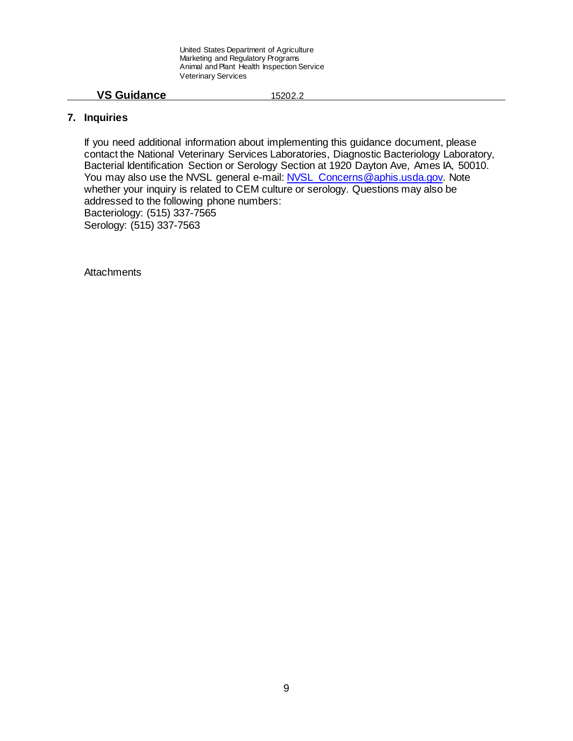### **VS Guidance** 15202.2

## **7. Inquiries**

If you need additional information about implementing this guidance document, please contact the National Veterinary Services Laboratories, Diagnostic Bacteriology Laboratory, Bacterial Identification Section or Serology Section at 1920 Dayton Ave, Ames IA, 50010. You may also use the NVSL general e-mail: NVSL\_Concerns@aphis.usda.gov. Note whether your inquiry is related to CEM culture or serology. Questions may also be addressed to the following phone numbers: Bacteriology: (515) 337-7565 Serology: (515) 337-7563

**Attachments**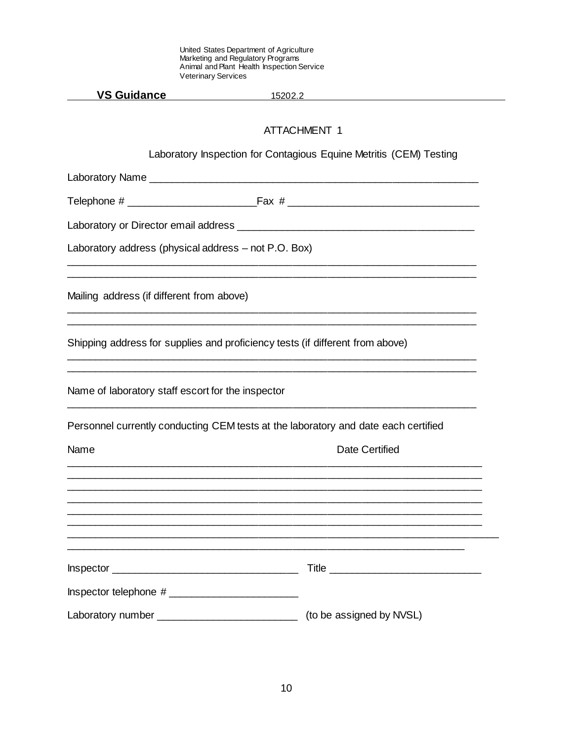| <b>Veterinary Services</b>                                                         |                                                                                           |
|------------------------------------------------------------------------------------|-------------------------------------------------------------------------------------------|
| <b>VS Guidance</b>                                                                 | <u>15202.2</u>                                                                            |
|                                                                                    | <b>ATTACHMENT 1</b><br>Laboratory Inspection for Contagious Equine Metritis (CEM) Testing |
|                                                                                    |                                                                                           |
|                                                                                    |                                                                                           |
|                                                                                    |                                                                                           |
| Laboratory address (physical address – not P.O. Box)                               |                                                                                           |
| Mailing address (if different from above)                                          |                                                                                           |
| Shipping address for supplies and proficiency tests (if different from above)      |                                                                                           |
| Name of laboratory staff escort for the inspector                                  |                                                                                           |
| Personnel currently conducting CEM tests at the laboratory and date each certified |                                                                                           |
| Name                                                                               | <b>Date Certified</b>                                                                     |
|                                                                                    |                                                                                           |
|                                                                                    |                                                                                           |
|                                                                                    |                                                                                           |
|                                                                                    |                                                                                           |
|                                                                                    |                                                                                           |
| Laboratory number _____________________________                                    | (to be assigned by NVSL)                                                                  |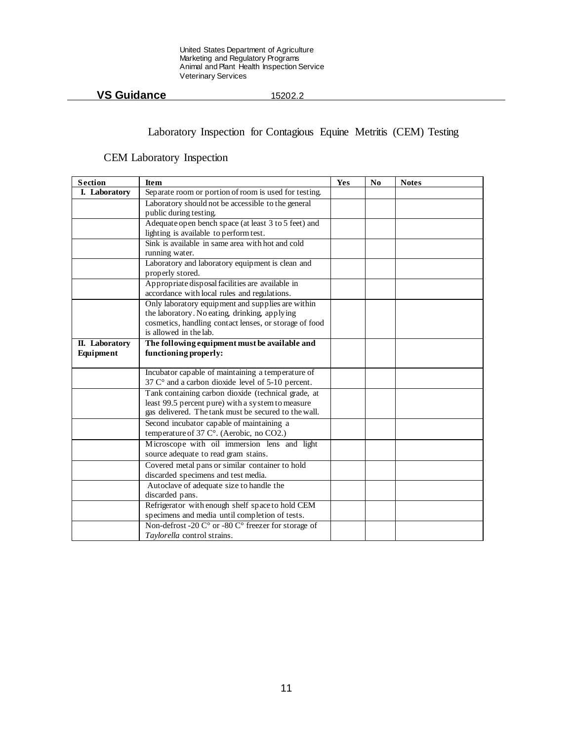# **VS Guidance** 15202.2

# Laboratory Inspection for Contagious Equine Metritis (CEM) Testing

# CEM Laboratory Inspection

| <b>Section</b>        | <b>Item</b>                                                                      | Yes | N <sub>0</sub> | <b>Notes</b> |
|-----------------------|----------------------------------------------------------------------------------|-----|----------------|--------------|
| <b>I.</b> Laboratory  | Separate room or portion of room is used for testing.                            |     |                |              |
|                       | Laboratory should not be accessible to the general                               |     |                |              |
|                       | public during testing.                                                           |     |                |              |
|                       | Adequate open bench space (at least 3 to 5 feet) and                             |     |                |              |
|                       | lighting is available to perform test.                                           |     |                |              |
|                       | Sink is available in same area with hot and cold<br>running water.               |     |                |              |
|                       | Laboratory and laboratory equipment is clean and                                 |     |                |              |
|                       | properly stored.                                                                 |     |                |              |
|                       | Appropriate disposal facilities are available in                                 |     |                |              |
|                       | accordance with local rules and regulations.                                     |     |                |              |
|                       | Only laboratory equipment and supplies are within                                |     |                |              |
|                       | the laboratory. No eating, drinking, applying                                    |     |                |              |
|                       | cosmetics, handling contact lenses, or storage of food<br>is allowed in the lab. |     |                |              |
| <b>II.</b> Laboratory | The following equipment must be available and                                    |     |                |              |
| Equipment             | functioning properly:                                                            |     |                |              |
|                       |                                                                                  |     |                |              |
|                       | Incubator capable of maintaining a temperature of                                |     |                |              |
|                       | 37 C° and a carbon dioxide level of 5-10 percent.                                |     |                |              |
|                       | Tank containing carbon dioxide (technical grade, at                              |     |                |              |
|                       | least 99.5 percent pure) with a system to measure                                |     |                |              |
|                       | gas delivered. The tank must be secured to the wall.                             |     |                |              |
|                       | Second incubator capable of maintaining a                                        |     |                |              |
|                       | temperature of 37 C°. (Aerobic, no CO2.)                                         |     |                |              |
|                       | Microscope with oil immersion lens and light                                     |     |                |              |
|                       | source adequate to read gram stains.                                             |     |                |              |
|                       | Covered metal pans or similar container to hold                                  |     |                |              |
|                       | discarded specimens and test media.                                              |     |                |              |
|                       | Autoclave of adequate size to handle the<br>discarded pans.                      |     |                |              |
|                       | Refrigerator with enough shelf space to hold CEM                                 |     |                |              |
|                       | specimens and media until completion of tests.                                   |     |                |              |
|                       | Non-defrost -20 C° or -80 C° freezer for storage of                              |     |                |              |
|                       | Taylorella control strains.                                                      |     |                |              |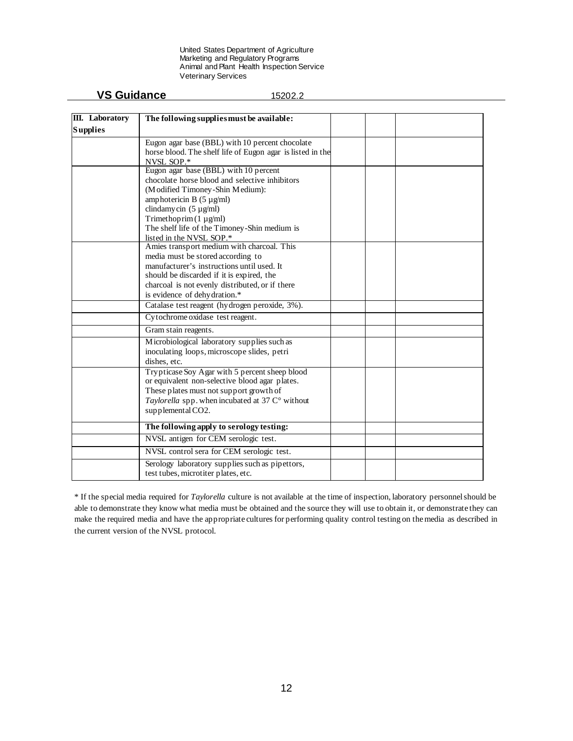| III. Laboratory | The following supplies must be available:                                       |  |  |
|-----------------|---------------------------------------------------------------------------------|--|--|
| <b>Supplies</b> |                                                                                 |  |  |
|                 |                                                                                 |  |  |
|                 | Eugon agar base (BBL) with 10 percent chocolate                                 |  |  |
|                 | horse blood. The shelf life of Eugon agar is listed in the<br>NVSL SOP.*        |  |  |
|                 | Eugon agar base (BBL) with 10 percent                                           |  |  |
|                 | chocolate horse blood and selective inhibitors                                  |  |  |
|                 | (Modified Timoney-Shin Medium):                                                 |  |  |
|                 | amphotericin B $(5 \mu g/ml)$                                                   |  |  |
|                 | clindamy cin $(5 \mu g/ml)$                                                     |  |  |
|                 | Trimethoprim (1 µg/ml)                                                          |  |  |
|                 | The shelf life of the Timoney-Shin medium is                                    |  |  |
|                 | listed in the NVSL SOP.*                                                        |  |  |
|                 | Amies transport medium with charcoal. This                                      |  |  |
|                 | media must be stored according to<br>manufacturer's instructions until used. It |  |  |
|                 | should be discarded if it is expired, the                                       |  |  |
|                 | charcoal is not evenly distributed, or if there                                 |  |  |
|                 | is evidence of dehydration.*                                                    |  |  |
|                 | Catalase test reagent (hydrogen peroxide, 3%).                                  |  |  |
|                 | Cytochrome oxidase test reagent.                                                |  |  |
|                 | Gram stain reagents.                                                            |  |  |
|                 | Microbiological laboratory supplies such as                                     |  |  |
|                 | inoculating loops, microscope slides, petri                                     |  |  |
|                 | dishes, etc.                                                                    |  |  |
|                 | Trypticase Soy Agar with 5 percent sheep blood                                  |  |  |
|                 | or equivalent non-selective blood agar plates.                                  |  |  |
|                 | These plates must not support growth of                                         |  |  |
|                 | Taylorella spp. when incubated at 37 $C^{\circ}$ without                        |  |  |
|                 | supplemental CO2.                                                               |  |  |
|                 | The following apply to serology testing:                                        |  |  |
|                 | NVSL antigen for CEM serologic test.                                            |  |  |
|                 | NVSL control sera for CEM serologic test.                                       |  |  |
|                 | Serology laboratory supplies such as pipettors,                                 |  |  |

\* If the special media required for *Taylorella* culture is not available at the time of inspection, laboratory personnel should be able to demonstrate they know what media must be obtained and the source they will use to obtain it, or demonstrate they can make the required media and have the appropriate cultures for performing quality control testing on the media as described in the current version of the NVSL protocol.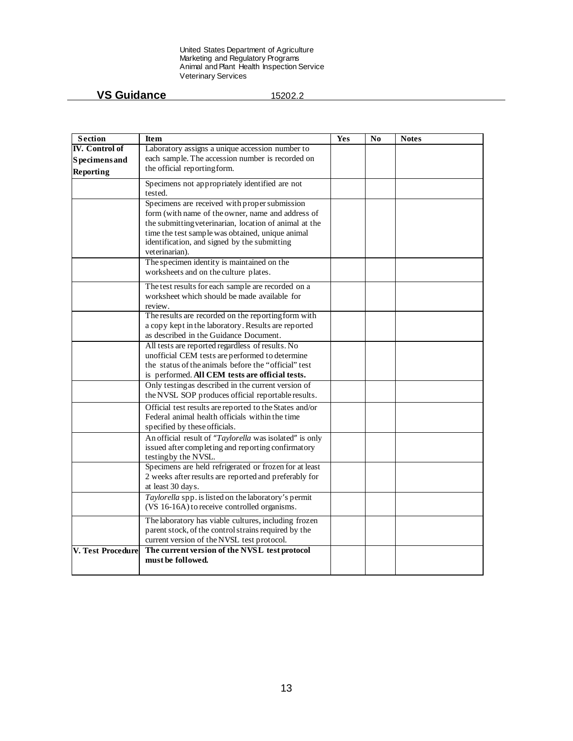| <b>Section</b>        | <b>Item</b>                                                                                                                           | Yes | No | <b>Notes</b> |
|-----------------------|---------------------------------------------------------------------------------------------------------------------------------------|-----|----|--------------|
| <b>IV.</b> Control of | Laboratory assigns a unique accession number to                                                                                       |     |    |              |
| <b>Specimens</b> and  | each sample. The accession number is recorded on                                                                                      |     |    |              |
| Reporting             | the official reporting form.                                                                                                          |     |    |              |
|                       | Specimens not appropriately identified are not<br>tested.                                                                             |     |    |              |
|                       | Specimens are received with proper submission                                                                                         |     |    |              |
|                       | form (with name of the owner, name and address of                                                                                     |     |    |              |
|                       | the submitting veterinarian, location of animal at the                                                                                |     |    |              |
|                       | time the test sample was obtained, unique animal<br>identification, and signed by the submitting<br>veterinarian).                    |     |    |              |
|                       | The specimen identity is maintained on the<br>worksheets and on the culture plates.                                                   |     |    |              |
|                       | The test results for each sample are recorded on a                                                                                    |     |    |              |
|                       | worksheet which should be made available for<br>review.                                                                               |     |    |              |
|                       | The results are recorded on the reporting form with                                                                                   |     |    |              |
|                       | a copy kept in the laboratory. Results are reported                                                                                   |     |    |              |
|                       | as described in the Guidance Document.                                                                                                |     |    |              |
|                       | All tests are reported regardless of results. No                                                                                      |     |    |              |
|                       | unofficial CEM tests are performed to determine<br>the status of the animals before the "official" test                               |     |    |              |
|                       | is performed. All CEM tests are official tests.                                                                                       |     |    |              |
|                       | Only testing as described in the current version of                                                                                   |     |    |              |
|                       | the NVSL SOP produces official reportable results.                                                                                    |     |    |              |
|                       | Official test results are reported to the States and/or                                                                               |     |    |              |
|                       | Federal animal health officials within the time                                                                                       |     |    |              |
|                       | specified by these officials.                                                                                                         |     |    |              |
|                       | An official result of "Taylorella was isolated" is only<br>issued after completing and reporting confirmatory<br>testing by the NVSL. |     |    |              |
|                       | Specimens are held refrigerated or frozen for at least                                                                                |     |    |              |
|                       | 2 weeks after results are reported and preferably for<br>at least 30 days.                                                            |     |    |              |
|                       | Taylorella spp. is listed on the laboratory's permit<br>(VS 16-16A) to receive controlled organisms.                                  |     |    |              |
|                       | The laboratory has viable cultures, including frozen                                                                                  |     |    |              |
|                       | parent stock, of the control strains required by the<br>current version of the NVSL test protocol.                                    |     |    |              |
| V. Test Procedure     | The current version of the NVSL test protocol                                                                                         |     |    |              |
|                       | must be followed.                                                                                                                     |     |    |              |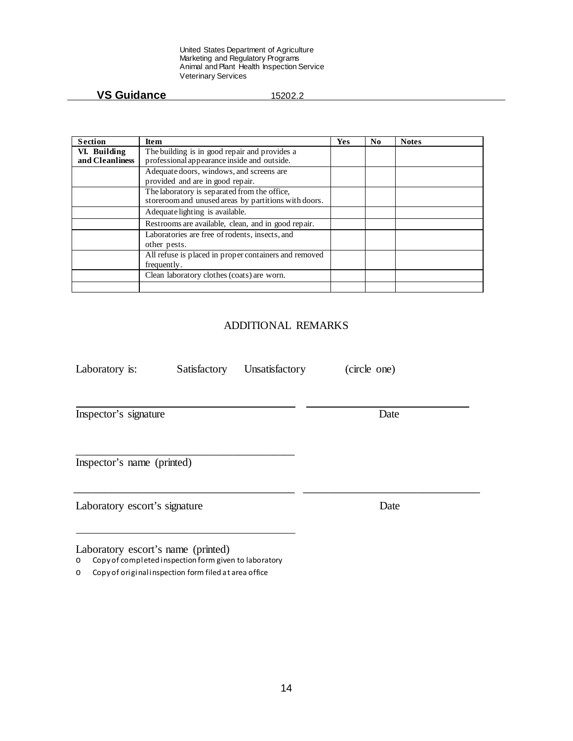# **VS Guidance** 15202.2

| <b>Section</b>  | <b>Item</b>                                           | Yes | No | <b>Notes</b> |
|-----------------|-------------------------------------------------------|-----|----|--------------|
| VI. Building    | The building is in good repair and provides a         |     |    |              |
| and Cleanliness | professional appearance inside and outside.           |     |    |              |
|                 | Adequate doors, windows, and screens are              |     |    |              |
|                 | provided and are in good repair.                      |     |    |              |
|                 | The laboratory is separated from the office,          |     |    |              |
|                 | storeroom and unused areas by partitions with doors.  |     |    |              |
|                 | Adequate lighting is available.                       |     |    |              |
|                 | Restrooms are available, clean, and in good repair.   |     |    |              |
|                 | Laboratories are free of rodents, insects, and        |     |    |              |
|                 | other pests.                                          |     |    |              |
|                 | All refuse is placed in proper containers and removed |     |    |              |
|                 | frequently.                                           |     |    |              |
|                 | Clean laboratory clothes (coats) are worn.            |     |    |              |
|                 |                                                       |     |    |              |

# ADDITIONAL REMARKS

| Laboratory is:                     | Satisfactory | Unsatisfactory | (circle one) |
|------------------------------------|--------------|----------------|--------------|
| Inspector's signature              |              |                | Date         |
| Inspector's name (printed)         |              |                |              |
| Laboratory escort's signature      |              |                | Date         |
| Laboratory escort's name (printed) |              |                |              |

o Copy of completed inspection form given to laboratory

o Copy of original inspection form filed at area office